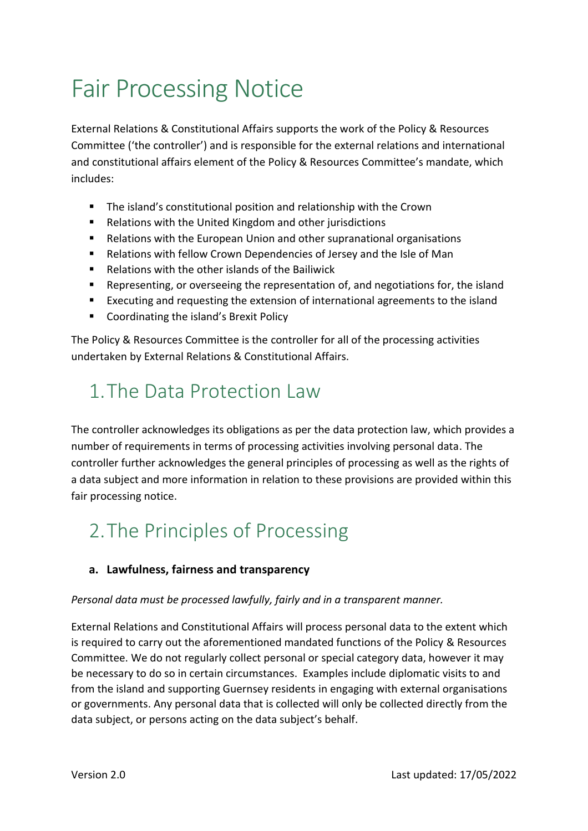# Fair Processing Notice

External Relations & Constitutional Affairs supports the work of the Policy & Resources Committee ('the controller') and is responsible for the external relations and international and constitutional affairs element of the Policy & Resources Committee's mandate, which includes:

- The island's constitutional position and relationship with the Crown
- Relations with the United Kingdom and other jurisdictions
- Relations with the European Union and other supranational organisations
- Relations with fellow Crown Dependencies of Jersey and the Isle of Man
- Relations with the other islands of the Bailiwick
- Representing, or overseeing the representation of, and negotiations for, the island
- Executing and requesting the extension of international agreements to the island
- Coordinating the island's Brexit Policy

The Policy & Resources Committee is the controller for all of the processing activities undertaken by External Relations & Constitutional Affairs.

# 1.The Data Protection Law

The controller acknowledges its obligations as per the data protection law, which provides a number of requirements in terms of processing activities involving personal data. The controller further acknowledges the general principles of processing as well as the rights of a data subject and more information in relation to these provisions are provided within this fair processing notice.

# 2.The Principles of Processing

### **a. Lawfulness, fairness and transparency**

#### *Personal data must be processed lawfully, fairly and in a transparent manner.*

External Relations and Constitutional Affairs will process personal data to the extent which is required to carry out the aforementioned mandated functions of the Policy & Resources Committee. We do not regularly collect personal or special category data, however it may be necessary to do so in certain circumstances. Examples include diplomatic visits to and from the island and supporting Guernsey residents in engaging with external organisations or governments. Any personal data that is collected will only be collected directly from the data subject, or persons acting on the data subject's behalf.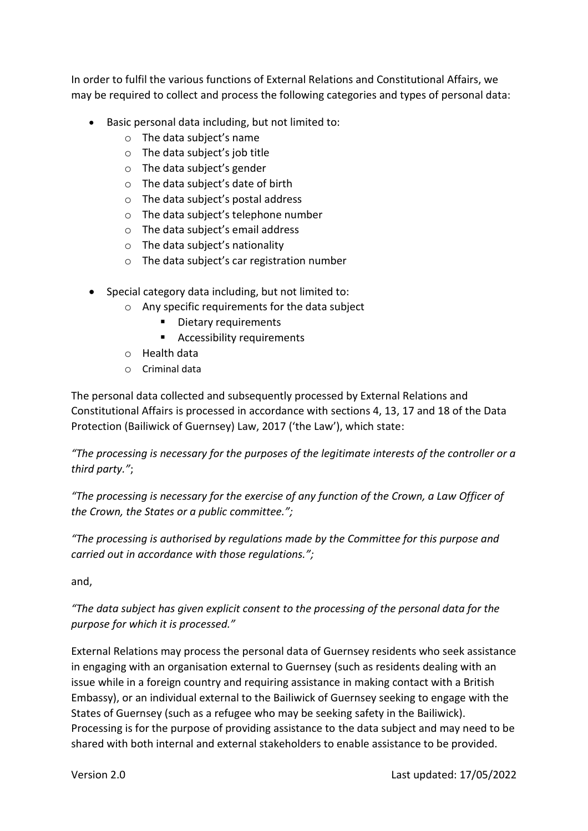In order to fulfil the various functions of External Relations and Constitutional Affairs, we may be required to collect and process the following categories and types of personal data:

- Basic personal data including, but not limited to:
	- o The data subject's name
	- o The data subject's job title
	- o The data subject's gender
	- o The data subject's date of birth
	- o The data subject's postal address
	- o The data subject's telephone number
	- o The data subject's email address
	- o The data subject's nationality
	- o The data subject's car registration number
- Special category data including, but not limited to:
	- o Any specific requirements for the data subject
		- Dietary requirements
		- Accessibility requirements
	- o Health data
	- o Criminal data

The personal data collected and subsequently processed by External Relations and Constitutional Affairs is processed in accordance with sections 4, 13, 17 and 18 of the Data Protection (Bailiwick of Guernsey) Law, 2017 ('the Law'), which state:

*"The processing is necessary for the purposes of the legitimate interests of the controller or a third party."*;

*"The processing is necessary for the exercise of any function of the Crown, a Law Officer of the Crown, the States or a public committee.";*

*"The processing is authorised by regulations made by the Committee for this purpose and carried out in accordance with those regulations.";*

and,

*"The data subject has given explicit consent to the processing of the personal data for the purpose for which it is processed."*

External Relations may process the personal data of Guernsey residents who seek assistance in engaging with an organisation external to Guernsey (such as residents dealing with an issue while in a foreign country and requiring assistance in making contact with a British Embassy), or an individual external to the Bailiwick of Guernsey seeking to engage with the States of Guernsey (such as a refugee who may be seeking safety in the Bailiwick). Processing is for the purpose of providing assistance to the data subject and may need to be shared with both internal and external stakeholders to enable assistance to be provided.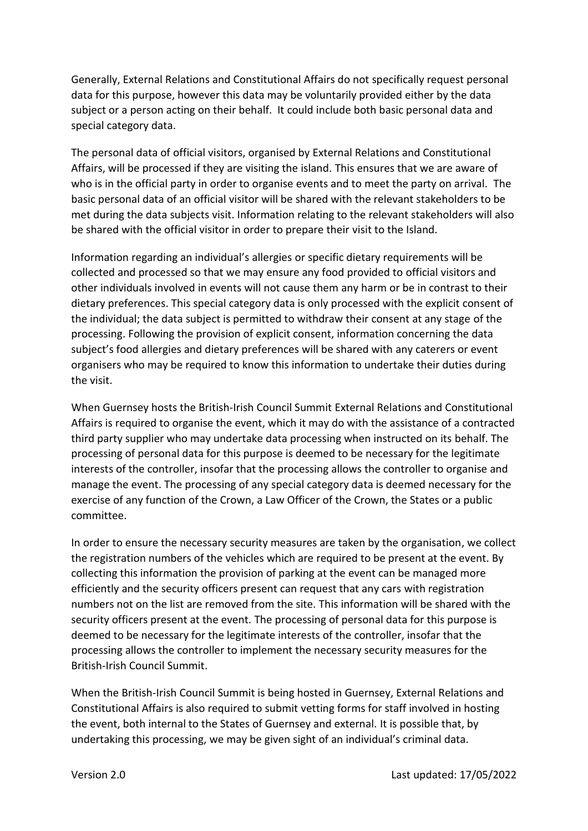Generally, External Relations and Constitutional Affairs do not specifically request personal data for this purpose, however this data may be voluntarily provided either by the data subject or a person acting on their behalf. It could include both basic personal data and special category data.

The personal data of official visitors, organised by External Relations and Constitutional Affairs, will be processed if they are visiting the island. This ensures that we are aware of who is in the official party in order to organise events and to meet the party on arrival. The basic personal data of an official visitor will be shared with the relevant stakeholders to be met during the data subjects visit. Information relating to the relevant stakeholders will also be shared with the official visitor in order to prepare their visit to the Island.

Information regarding an individual's allergies or specific dietary requirements will be collected and processed so that we may ensure any food provided to official visitors and other individuals involved in events will not cause them any harm or be in contrast to their dietary preferences. This special category data is only processed with the explicit consent of the individual; the data subject is permitted to withdraw their consent at any stage of the processing. Following the provision of explicit consent, information concerning the data subject's food allergies and dietary preferences will be shared with any caterers or event organisers who may be required to know this information to undertake their duties during the visit.

When Guernsey hosts the British-Irish Council Summit External Relations and Constitutional Affairs is required to organise the event, which it may do with the assistance of a contracted third party supplier who may undertake data processing when instructed on its behalf. The processing of personal data for this purpose is deemed to be necessary for the legitimate interests of the controller, insofar that the processing allows the controller to organise and manage the event. The processing of any special category data is deemed necessary for the exercise of any function of the Crown, a Law Officer of the Crown, the States or a public committee.

In order to ensure the necessary security measures are taken by the organisation, we collect the registration numbers of the vehicles which are required to be present at the event. By collecting this information the provision of parking at the event can be managed more efficiently and the security officers present can request that any cars with registration numbers not on the list are removed from the site. This information will be shared with the security officers present at the event. The processing of personal data for this purpose is deemed to be necessary for the legitimate interests of the controller, insofar that the processing allows the controller to implement the necessary security measures for the British-Irish Council Summit.

When the British-Irish Council Summit is being hosted in Guernsey, External Relations and Constitutional Affairs is also required to submit vetting forms for staff involved in hosting the event, both internal to the States of Guernsey and external. It is possible that, by undertaking this processing, we may be given sight of an individual's criminal data.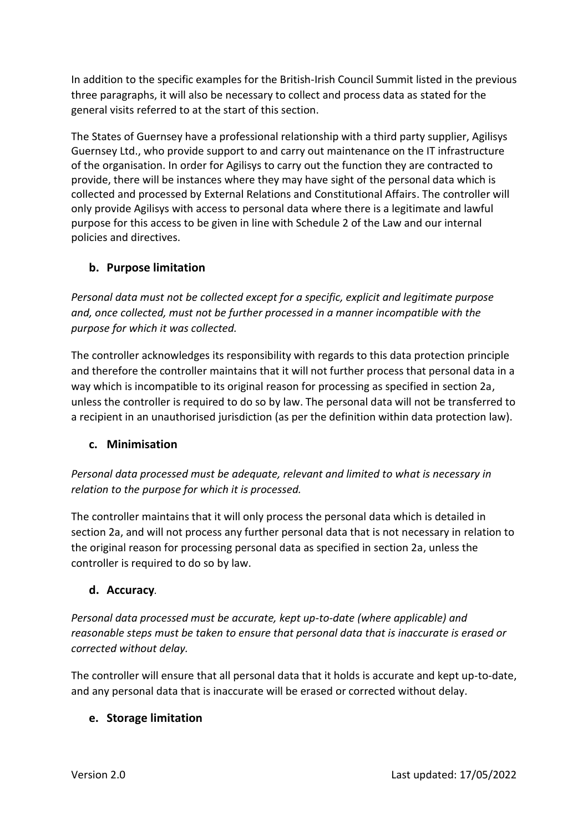In addition to the specific examples for the British-Irish Council Summit listed in the previous three paragraphs, it will also be necessary to collect and process data as stated for the general visits referred to at the start of this section.

The States of Guernsey have a professional relationship with a third party supplier, Agilisys Guernsey Ltd., who provide support to and carry out maintenance on the IT infrastructure of the organisation. In order for Agilisys to carry out the function they are contracted to provide, there will be instances where they may have sight of the personal data which is collected and processed by External Relations and Constitutional Affairs. The controller will only provide Agilisys with access to personal data where there is a legitimate and lawful purpose for this access to be given in line with Schedule 2 of the Law and our internal policies and directives.

# **b. Purpose limitation**

*Personal data must not be collected except for a specific, explicit and legitimate purpose and, once collected, must not be further processed in a manner incompatible with the purpose for which it was collected.* 

The controller acknowledges its responsibility with regards to this data protection principle and therefore the controller maintains that it will not further process that personal data in a way which is incompatible to its original reason for processing as specified in section 2a, unless the controller is required to do so by law. The personal data will not be transferred to a recipient in an unauthorised jurisdiction (as per the definition within data protection law).

### **c. Minimisation**

*Personal data processed must be adequate, relevant and limited to what is necessary in relation to the purpose for which it is processed.* 

The controller maintains that it will only process the personal data which is detailed in section 2a, and will not process any further personal data that is not necessary in relation to the original reason for processing personal data as specified in section 2a, unless the controller is required to do so by law.

### **d. Accuracy***.*

*Personal data processed must be accurate, kept up-to-date (where applicable) and reasonable steps must be taken to ensure that personal data that is inaccurate is erased or corrected without delay.* 

The controller will ensure that all personal data that it holds is accurate and kept up-to-date, and any personal data that is inaccurate will be erased or corrected without delay.

### **e. Storage limitation**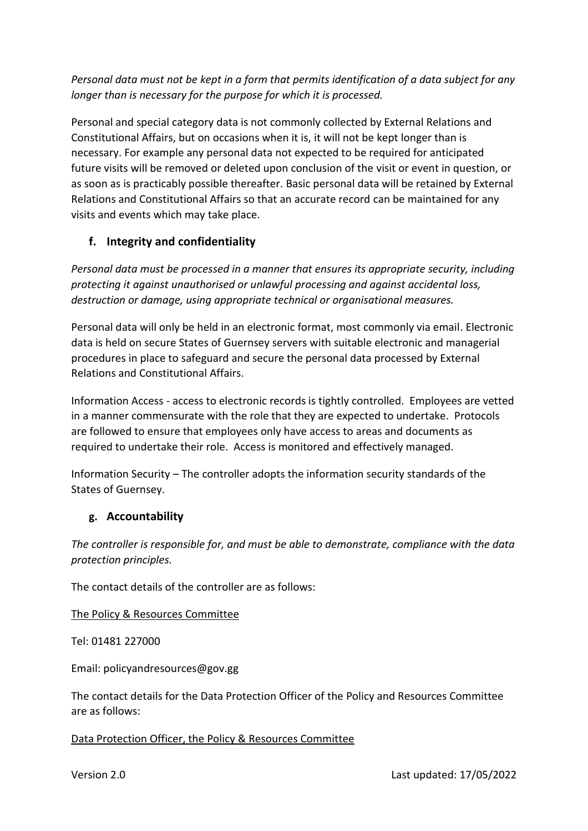*Personal data must not be kept in a form that permits identification of a data subject for any longer than is necessary for the purpose for which it is processed.*

Personal and special category data is not commonly collected by External Relations and Constitutional Affairs, but on occasions when it is, it will not be kept longer than is necessary. For example any personal data not expected to be required for anticipated future visits will be removed or deleted upon conclusion of the visit or event in question, or as soon as is practicably possible thereafter. Basic personal data will be retained by External Relations and Constitutional Affairs so that an accurate record can be maintained for any visits and events which may take place.

# **f. Integrity and confidentiality**

*Personal data must be processed in a manner that ensures its appropriate security, including protecting it against unauthorised or unlawful processing and against accidental loss, destruction or damage, using appropriate technical or organisational measures.* 

Personal data will only be held in an electronic format, most commonly via email. Electronic data is held on secure States of Guernsey servers with suitable electronic and managerial procedures in place to safeguard and secure the personal data processed by External Relations and Constitutional Affairs.

Information Access - access to electronic records is tightly controlled. Employees are vetted in a manner commensurate with the role that they are expected to undertake. Protocols are followed to ensure that employees only have access to areas and documents as required to undertake their role. Access is monitored and effectively managed.

Information Security – The controller adopts the information security standards of the States of Guernsey.

### **g. Accountability**

*The controller is responsible for, and must be able to demonstrate, compliance with the data protection principles.* 

The contact details of the controller are as follows:

#### The Policy & Resources Committee

Tel: 01481 227000

Email: policyandresources@gov.gg

The contact details for the Data Protection Officer of the Policy and Resources Committee are as follows:

#### Data Protection Officer, the Policy & Resources Committee